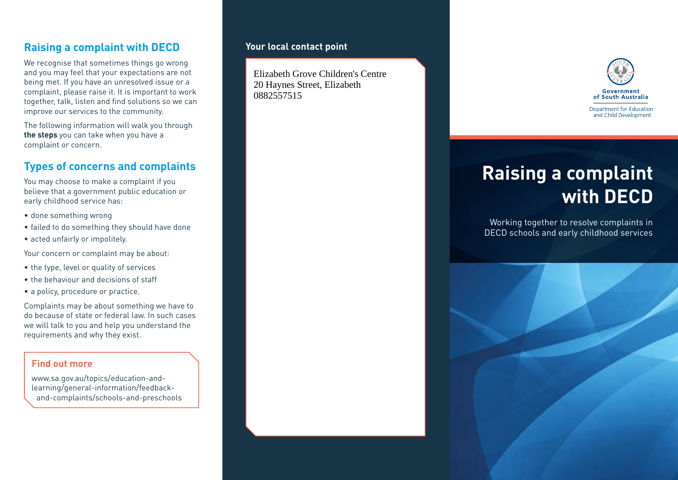## **Raising a complaint with DECD**

We recognise that sometimes things go wrong and you may feel that your expectations are not being met. If you have an unresolved issue or a complaint, please raise it. It is important to work together, talk, listen and find solutions so we can improve our services to the community.

The following information will walk you through **the steps** you can take when you have a complaint or concern.

## **Types of concerns and complaints**

You may choose to make a complaint if you believe that a government public education or early childhood service has:

- done something wrong
- failed to do something they should have done
- acted unfairly or impolitely.

Your concern or complaint may be about:

- the type, level or quality of services
- the behaviour and decisions of staff
- a policy, procedure or practice.

Complaints may be about something we have to do because of state or federal law. In such cases we will talk to you and help you understand the requirements and why they exist.

#### **Find out more**

www.sa.gov.au/topics/education-andlearning/general-information/feedbackand-complaints/schools-and-preschools

#### **Your local contact point**

Elizabeth Grove Children's Centre 20 Haynes Street, Elizabeth 0882557515



# **Raising a complaint with DECD**

Working together to resolve complaints in DECD schools and early childhood services